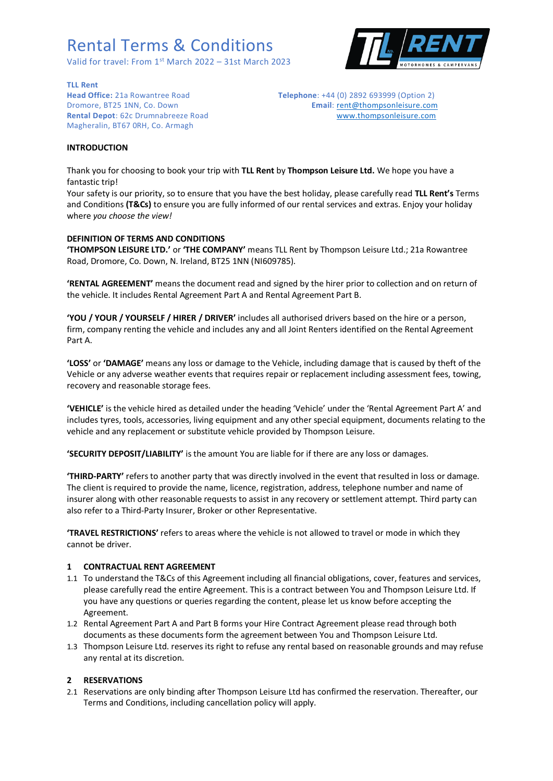Valid for travel: From 1<sup>st</sup> March 2022 - 31st March 2023



**TLL Rent**

Magheralin, BT67 0RH, Co. Armagh

**Head Office:** 21a Rowantree Road **Telephone**: +44 (0) 2892 693999 (Option 2) Dromore, BT25 1NN, Co. Down **Email:** [rent@thompsonleisure.com](mailto:rent@thompsonleisure.com) **Rental Depot**: 62c Drumnabreeze Road [www.thompsonleisure.com](http://www.thompsonleisure.com/)

#### **INTRODUCTION**

Thank you for choosing to book your trip with **TLL Rent** by **Thompson Leisure Ltd.** We hope you have a fantastic trip!

Your safety is our priority, so to ensure that you have the best holiday, please carefully read **TLL Rent's** Terms and Conditions **(T&Cs)** to ensure you are fully informed of our rental services and extras. Enjoy your holiday where *you choose the view!*

### **DEFINITION OF TERMS AND CONDITIONS**

**'THOMPSON LEISURE LTD.'** or **'THE COMPANY'** means TLL Rent by Thompson Leisure Ltd.; 21a Rowantree Road, Dromore, Co. Down, N. Ireland, BT25 1NN (NI609785).

**'RENTAL AGREEMENT'** means the document read and signed by the hirer prior to collection and on return of the vehicle. It includes Rental Agreement Part A and Rental Agreement Part B.

**'YOU / YOUR / YOURSELF / HIRER / DRIVER'** includes all authorised drivers based on the hire or a person, firm, company renting the vehicle and includes any and all Joint Renters identified on the Rental Agreement Part A.

**'LOSS'** or **'DAMAGE'** means any loss or damage to the Vehicle, including damage that is caused by theft of the Vehicle or any adverse weather events that requires repair or replacement including assessment fees, towing, recovery and reasonable storage fees.

**'VEHICLE'** is the vehicle hired as detailed under the heading 'Vehicle' under the 'Rental Agreement Part A' and includes tyres, tools, accessories, living equipment and any other special equipment, documents relating to the vehicle and any replacement or substitute vehicle provided by Thompson Leisure.

**'SECURITY DEPOSIT/LIABILITY'** is the amount You are liable for if there are any loss or damages.

**'THIRD-PARTY'** refers to another party that was directly involved in the event that resulted in loss or damage. The client is required to provide the name, licence, registration, address, telephone number and name of insurer along with other reasonable requests to assist in any recovery or settlement attempt. Third party can also refer to a Third-Party Insurer, Broker or other Representative.

**'TRAVEL RESTRICTIONS'** refers to areas where the vehicle is not allowed to travel or mode in which they cannot be driver.

#### **1 CONTRACTUAL RENT AGREEMENT**

- 1.1 To understand the T&Cs of this Agreement including all financial obligations, cover, features and services, please carefully read the entire Agreement. This is a contract between You and Thompson Leisure Ltd. If you have any questions or queries regarding the content, please let us know before accepting the Agreement.
- 1.2 Rental Agreement Part A and Part B forms your Hire Contract Agreement please read through both documents as these documents form the agreement between You and Thompson Leisure Ltd.
- 1.3 Thompson Leisure Ltd. reserves its right to refuse any rental based on reasonable grounds and may refuse any rental at its discretion.

#### **2 RESERVATIONS**

2.1 Reservations are only binding after Thompson Leisure Ltd has confirmed the reservation. Thereafter, our Terms and Conditions, including cancellation policy will apply.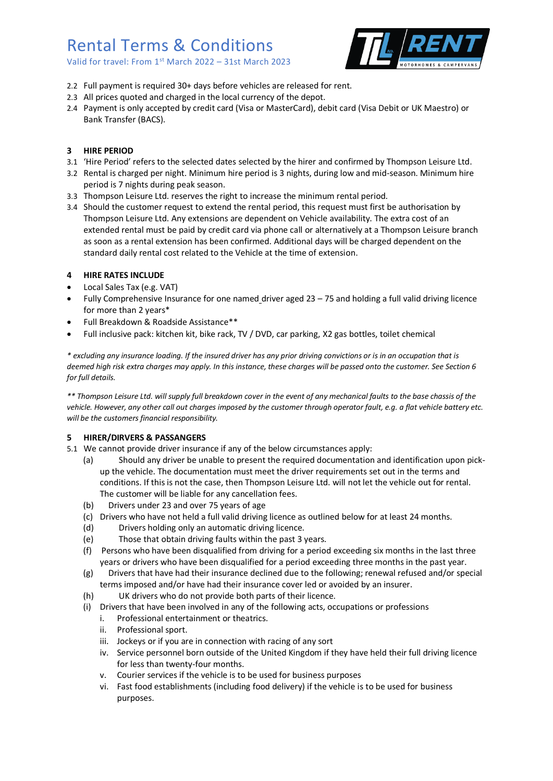Valid for travel: From 1<sup>st</sup> March 2022 - 31st March 2023



- 2.2 Full payment is required 30+ days before vehicles are released for rent.
- 2.3 All prices quoted and charged in the local currency of the depot.
- 2.4 Payment is only accepted by credit card (Visa or MasterCard), debit card (Visa Debit or UK Maestro) or Bank Transfer (BACS).

## **3 HIRE PERIOD**

- 3.1 'Hire Period' refers to the selected dates selected by the hirer and confirmed by Thompson Leisure Ltd.
- 3.2 Rental is charged per night. Minimum hire period is 3 nights, during low and mid-season. Minimum hire period is 7 nights during peak season.
- 3.3 Thompson Leisure Ltd. reserves the right to increase the minimum rental period.
- 3.4 Should the customer request to extend the rental period, this request must first be authorisation by Thompson Leisure Ltd. Any extensions are dependent on Vehicle availability. The extra cost of an extended rental must be paid by credit card via phone call or alternatively at a Thompson Leisure branch as soon as a rental extension has been confirmed. Additional days will be charged dependent on the standard daily rental cost related to the Vehicle at the time of extension.

### **4 HIRE RATES INCLUDE**

- Local Sales Tax (e.g. VAT)
- Fully Comprehensive Insurance for one named driver aged 23 75 and holding a full valid driving licence for more than 2 years\*
- Full Breakdown & Roadside Assistance\*\*
- Full inclusive pack: kitchen kit, bike rack, TV / DVD, car parking, X2 gas bottles, toilet chemical

*\* excluding any insurance loading. If the insured driver has any prior driving convictions or is in an occupation that is deemed high risk extra charges may apply. In this instance, these charges will be passed onto the customer. See Section 6 for full details.*

*\*\* Thompson Leisure Ltd. will supply full breakdown cover in the event of any mechanical faults to the base chassis of the vehicle. However, any other call out charges imposed by the customer through operator fault, e.g. a flat vehicle battery etc. will be the customers financial responsibility.*

## **5 HIRER/DIRVERS & PASSANGERS**

- 5.1 We cannot provide driver insurance if any of the below circumstances apply:
	- (a) Should any driver be unable to present the required documentation and identification upon pickup the vehicle. The documentation must meet the driver requirements set out in the terms and conditions. If this is not the case, then Thompson Leisure Ltd. will not let the vehicle out for rental. The customer will be liable for any cancellation fees.
	- (b) Drivers under 23 and over 75 years of age
	- (c) Drivers who have not held a full valid driving licence as outlined below for at least 24 months.
	- (d) Drivers holding only an automatic driving licence.
	- (e) Those that obtain driving faults within the past 3 years.
	- (f) Persons who have been disqualified from driving for a period exceeding six months in the last three years or drivers who have been disqualified for a period exceeding three months in the past year.
	- (g) Drivers that have had their insurance declined due to the following; renewal refused and/or special terms imposed and/or have had their insurance cover led or avoided by an insurer.
	- (h) UK drivers who do not provide both parts of their licence.
	- (i) Drivers that have been involved in any of the following acts, occupations or professions
		- i. Professional entertainment or theatrics.
		- ii. Professional sport.
		- iii. Jockeys or if you are in connection with racing of any sort
		- iv. Service personnel born outside of the United Kingdom if they have held their full driving licence for less than twenty-four months.
		- v. Courier services if the vehicle is to be used for business purposes
		- vi. Fast food establishments (including food delivery) if the vehicle is to be used for business purposes.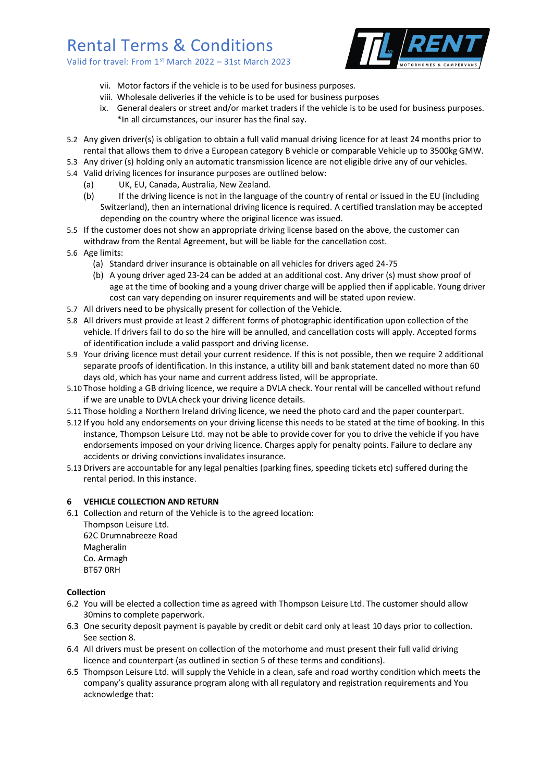Valid for travel: From 1st March 2022 – 31st March 2023



- vii. Motor factors if the vehicle is to be used for business purposes.
- viii. Wholesale deliveries if the vehicle is to be used for business purposes
- ix. General dealers or street and/or market traders if the vehicle is to be used for business purposes. \*In all circumstances, our insurer has the final say.
- 5.2 Any given driver(s) is obligation to obtain a full valid manual driving licence for at least 24 months prior to rental that allows them to drive a European category B vehicle or comparable Vehicle up to 3500kg GMW.
- 5.3 Any driver (s) holding only an automatic transmission licence are not eligible drive any of our vehicles.
- 5.4 Valid driving licences for insurance purposes are outlined below:
	- (a) UK, EU, Canada, Australia, New Zealand.
	- (b) If the driving licence is not in the language of the country of rental or issued in the EU (including Switzerland), then an international driving licence is required. A certified translation may be accepted depending on the country where the original licence was issued.
- 5.5 If the customer does not show an appropriate driving license based on the above, the customer can withdraw from the Rental Agreement, but will be liable for the cancellation cost.
- 5.6 Age limits:
	- (a) Standard driver insurance is obtainable on all vehicles for drivers aged 24-75
	- (b) A young driver aged 23-24 can be added at an additional cost. Any driver (s) must show proof of age at the time of booking and a young driver charge will be applied then if applicable. Young driver cost can vary depending on insurer requirements and will be stated upon review.
- 5.7 All drivers need to be physically present for collection of the Vehicle.
- 5.8 All drivers must provide at least 2 different forms of photographic identification upon collection of the vehicle. If drivers fail to do so the hire will be annulled, and cancellation costs will apply. Accepted forms of identification include a valid passport and driving license.
- 5.9 Your driving licence must detail your current residence. If this is not possible, then we require 2 additional separate proofs of identification. In this instance, a utility bill and bank statement dated no more than 60 days old, which has your name and current address listed, will be appropriate.
- 5.10 Those holding a GB driving licence, we require a DVLA check. Your rental will be cancelled without refund if we are unable to DVLA check your driving licence details.
- 5.11 Those holding a Northern Ireland driving licence, we need the photo card and the paper counterpart.
- 5.12 If you hold any endorsements on your driving license this needs to be stated at the time of booking. In this instance, Thompson Leisure Ltd. may not be able to provide cover for you to drive the vehicle if you have endorsements imposed on your driving licence. Charges apply for penalty points. Failure to declare any accidents or driving convictions invalidates insurance.
- 5.13 Drivers are accountable for any legal penalties (parking fines, speeding tickets etc) suffered during the rental period. In this instance.

#### **6 VEHICLE COLLECTION AND RETURN**

6.1 Collection and return of the Vehicle is to the agreed location:

Thompson Leisure Ltd. 62C Drumnabreeze Road Magheralin Co. Armagh BT67 0RH

#### **Collection**

- 6.2 You will be elected a collection time as agreed with Thompson Leisure Ltd. The customer should allow 30mins to complete paperwork.
- 6.3 One security deposit payment is payable by credit or debit card only at least 10 days prior to collection. See section 8.
- 6.4 All drivers must be present on collection of the motorhome and must present their full valid driving licence and counterpart (as outlined in section 5 of these terms and conditions).
- 6.5 Thompson Leisure Ltd. will supply the Vehicle in a clean, safe and road worthy condition which meets the company's quality assurance program along with all regulatory and registration requirements and You acknowledge that: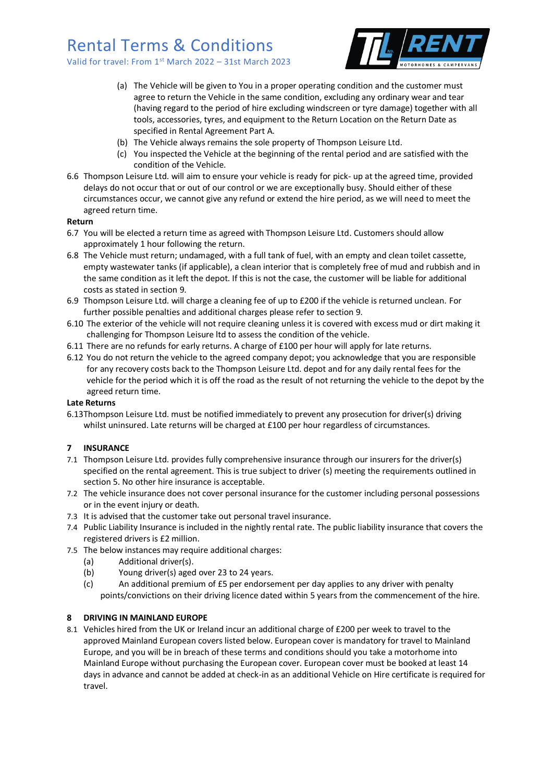Valid for travel: From 1st March 2022 – 31st March 2023



- (a) The Vehicle will be given to You in a proper operating condition and the customer must agree to return the Vehicle in the same condition, excluding any ordinary wear and tear (having regard to the period of hire excluding windscreen or tyre damage) together with all tools, accessories, tyres, and equipment to the Return Location on the Return Date as specified in Rental Agreement Part A.
- (b) The Vehicle always remains the sole property of Thompson Leisure Ltd.
- (c) You inspected the Vehicle at the beginning of the rental period and are satisfied with the condition of the Vehicle.
- 6.6 Thompson Leisure Ltd. will aim to ensure your vehicle is ready for pick- up at the agreed time, provided delays do not occur that or out of our control or we are exceptionally busy. Should either of these circumstances occur, we cannot give any refund or extend the hire period, as we will need to meet the agreed return time.

#### **Return**

- 6.7 You will be elected a return time as agreed with Thompson Leisure Ltd. Customers should allow approximately 1 hour following the return.
- 6.8 The Vehicle must return; undamaged, with a full tank of fuel, with an empty and clean toilet cassette, empty wastewater tanks (if applicable), a clean interior that is completely free of mud and rubbish and in the same condition as it left the depot. If this is not the case, the customer will be liable for additional costs as stated in section 9.
- 6.9 Thompson Leisure Ltd. will charge a cleaning fee of up to £200 if the vehicle is returned unclean. For further possible penalties and additional charges please refer to section 9.
- 6.10 The exterior of the vehicle will not require cleaning unless it is covered with excess mud or dirt making it challenging for Thompson Leisure ltd to assess the condition of the vehicle.
- 6.11 There are no refunds for early returns. A charge of £100 per hour will apply for late returns.
- 6.12 You do not return the vehicle to the agreed company depot; you acknowledge that you are responsible for any recovery costs back to the Thompson Leisure Ltd. depot and for any daily rental fees for the vehicle for the period which it is off the road as the result of not returning the vehicle to the depot by the agreed return time.

#### **Late Returns**

6.13Thompson Leisure Ltd. must be notified immediately to prevent any prosecution for driver(s) driving whilst uninsured. Late returns will be charged at £100 per hour regardless of circumstances.

#### **7 INSURANCE**

- 7.1 Thompson Leisure Ltd. provides fully comprehensive insurance through our insurers for the driver(s) specified on the rental agreement. This is true subject to driver (s) meeting the requirements outlined in section 5. No other hire insurance is acceptable.
- 7.2 The vehicle insurance does not cover personal insurance for the customer including personal possessions or in the event injury or death.
- 7.3 It is advised that the customer take out personal travel insurance.
- 7.4 Public Liability Insurance is included in the nightly rental rate. The public liability insurance that covers the registered drivers is £2 million.
- 7.5 The below instances may require additional charges:
	- (a) Additional driver(s).
	- (b) Young driver(s) aged over 23 to 24 years.
	- (c) An additional premium of £5 per endorsement per day applies to any driver with penalty points/convictions on their driving licence dated within 5 years from the commencement of the hire.

#### **8 DRIVING IN MAINLAND EUROPE**

8.1 Vehicles hired from the UK or Ireland incur an additional charge of £200 per week to travel to the approved Mainland European covers listed below. European cover is mandatory for travel to Mainland Europe, and you will be in breach of these terms and conditions should you take a motorhome into Mainland Europe without purchasing the European cover. European cover must be booked at least 14 days in advance and cannot be added at check-in as an additional Vehicle on Hire certificate is required for travel.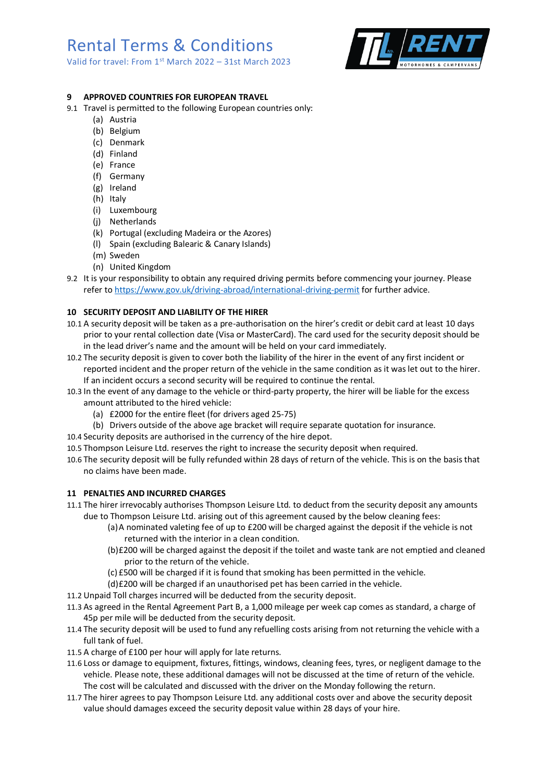Valid for travel: From 1st March 2022 – 31st March 2023



## **9 APPROVED COUNTRIES FOR EUROPEAN TRAVEL**

- 9.1 Travel is permitted to the following European countries only:
	- (a) Austria
	- (b) Belgium
	- (c) Denmark
	- (d) Finland
	- (e) France
	- (f) Germany
	- (g) Ireland
	- (h) Italy
	- (i) Luxembourg
	- (j) Netherlands
	- (k) Portugal (excluding Madeira or the Azores)
	- (l) Spain (excluding Balearic & Canary Islands)
	- (m) Sweden
	- (n) United Kingdom
- 9.2 It is your responsibility to obtain any required driving permits before commencing your journey. Please refer t[o https://www.gov.uk/driving-abroad/international-driving-permit](https://www.gov.uk/driving-abroad/international-driving-permit) for further advice.

### **10 SECURITY DEPOSIT AND LIABILITY OF THE HIRER**

- 10.1 A security deposit will be taken as a pre-authorisation on the hirer's credit or debit card at least 10 days prior to your rental collection date (Visa or MasterCard). The card used for the security deposit should be in the lead driver's name and the amount will be held on your card immediately.
- 10.2 The security deposit is given to cover both the liability of the hirer in the event of any first incident or reported incident and the proper return of the vehicle in the same condition as it was let out to the hirer. If an incident occurs a second security will be required to continue the rental.
- 10.3 In the event of any damage to the vehicle or third-party property, the hirer will be liable for the excess amount attributed to the hired vehicle:
	- (a) £2000 for the entire fleet (for drivers aged 25-75)
	- (b) Drivers outside of the above age bracket will require separate quotation for insurance.
- 10.4 Security deposits are authorised in the currency of the hire depot.
- 10.5 Thompson Leisure Ltd. reserves the right to increase the security deposit when required.
- 10.6 The security deposit will be fully refunded within 28 days of return of the vehicle. This is on the basis that no claims have been made.

#### **11 PENALTIES AND INCURRED CHARGES**

- 11.1 The hirer irrevocably authorises Thompson Leisure Ltd. to deduct from the security deposit any amounts due to Thompson Leisure Ltd. arising out of this agreement caused by the below cleaning fees:
	- (a)A nominated valeting fee of up to £200 will be charged against the deposit if the vehicle is not returned with the interior in a clean condition.
	- (b)£200 will be charged against the deposit if the toilet and waste tank are not emptied and cleaned prior to the return of the vehicle.
	- (c) £500 will be charged if it is found that smoking has been permitted in the vehicle.
	- (d)£200 will be charged if an unauthorised pet has been carried in the vehicle.
- 11.2 Unpaid Toll charges incurred will be deducted from the security deposit.
- 11.3 As agreed in the Rental Agreement Part B, a 1,000 mileage per week cap comes as standard, a charge of 45p per mile will be deducted from the security deposit.
- 11.4 The security deposit will be used to fund any refuelling costs arising from not returning the vehicle with a full tank of fuel.
- 11.5 A charge of £100 per hour will apply for late returns.
- 11.6 Loss or damage to equipment, fixtures, fittings, windows, cleaning fees, tyres, or negligent damage to the vehicle. Please note, these additional damages will not be discussed at the time of return of the vehicle. The cost will be calculated and discussed with the driver on the Monday following the return.
- 11.7 The hirer agrees to pay Thompson Leisure Ltd. any additional costs over and above the security deposit value should damages exceed the security deposit value within 28 days of your hire.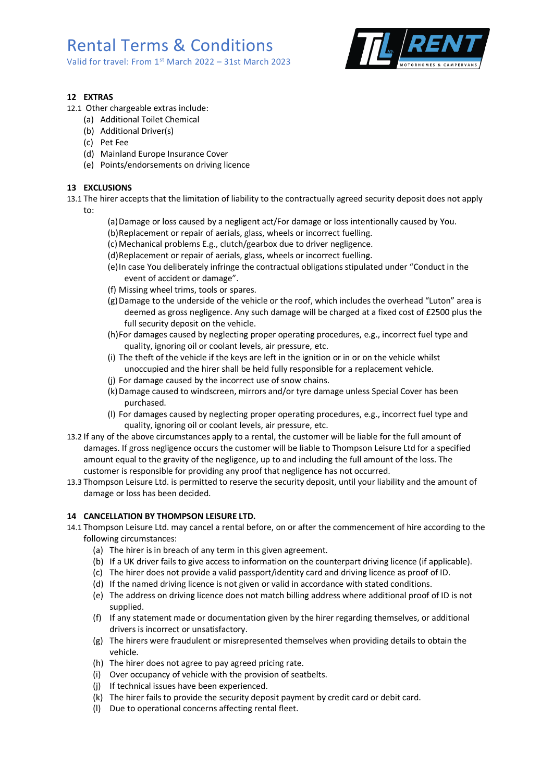Valid for travel: From 1<sup>st</sup> March 2022 - 31st March 2023



## **12 EXTRAS**

- 12.1 Other chargeable extras include:
	- (a) Additional Toilet Chemical
	- (b) Additional Driver(s)
	- (c) Pet Fee
	- (d) Mainland Europe Insurance Cover
	- (e) Points/endorsements on driving licence

## **13 EXCLUSIONS**

- 13.1 The hirer accepts that the limitation of liability to the contractually agreed security deposit does not apply
	- to:
- (a)Damage or loss caused by a negligent act/For damage or loss intentionally caused by You.
- (b)Replacement or repair of aerials, glass, wheels or incorrect fuelling.
- (c) Mechanical problems E.g., clutch/gearbox due to driver negligence.
- (d)Replacement or repair of aerials, glass, wheels or incorrect fuelling.
- (e)In case You deliberately infringe the contractual obligations stipulated under "Conduct in the event of accident or damage".
- (f) Missing wheel trims, tools or spares.
- (g)Damage to the underside of the vehicle or the roof, which includes the overhead "Luton" area is deemed as gross negligence. Any such damage will be charged at a fixed cost of £2500 plus the full security deposit on the vehicle.
- (h)For damages caused by neglecting proper operating procedures, e.g., incorrect fuel type and quality, ignoring oil or coolant levels, air pressure, etc.
- (i) The theft of the vehicle if the keys are left in the ignition or in or on the vehicle whilst unoccupied and the hirer shall be held fully responsible for a replacement vehicle.
- (j) For damage caused by the incorrect use of snow chains.
- (k)Damage caused to windscreen, mirrors and/or tyre damage unless Special Cover has been purchased.
- (l) For damages caused by neglecting proper operating procedures, e.g., incorrect fuel type and quality, ignoring oil or coolant levels, air pressure, etc.
- 13.2 If any of the above circumstances apply to a rental, the customer will be liable for the full amount of damages. If gross negligence occurs the customer will be liable to Thompson Leisure Ltd for a specified amount equal to the gravity of the negligence, up to and including the full amount of the loss. The customer is responsible for providing any proof that negligence has not occurred.
- 13.3 Thompson Leisure Ltd. is permitted to reserve the security deposit, until your liability and the amount of damage or loss has been decided.

## **14 CANCELLATION BY THOMPSON LEISURE LTD.**

- 14.1 Thompson Leisure Ltd. may cancel a rental before, on or after the commencement of hire according to the following circumstances:
	- (a) The hirer is in breach of any term in this given agreement.
	- (b) If a UK driver fails to give access to information on the counterpart driving licence (if applicable).
	- (c) The hirer does not provide a valid passport/identity card and driving licence as proof of ID.
	- (d) If the named driving licence is not given or valid in accordance with stated conditions.
	- (e) The address on driving licence does not match billing address where additional proof of ID is not supplied.
	- (f) If any statement made or documentation given by the hirer regarding themselves, or additional drivers is incorrect or unsatisfactory.
	- (g) The hirers were fraudulent or misrepresented themselves when providing details to obtain the vehicle.
	- (h) The hirer does not agree to pay agreed pricing rate.
	- (i) Over occupancy of vehicle with the provision of seatbelts.
	- (j) If technical issues have been experienced.
	- (k) The hirer fails to provide the security deposit payment by credit card or debit card.
	- (l) Due to operational concerns affecting rental fleet.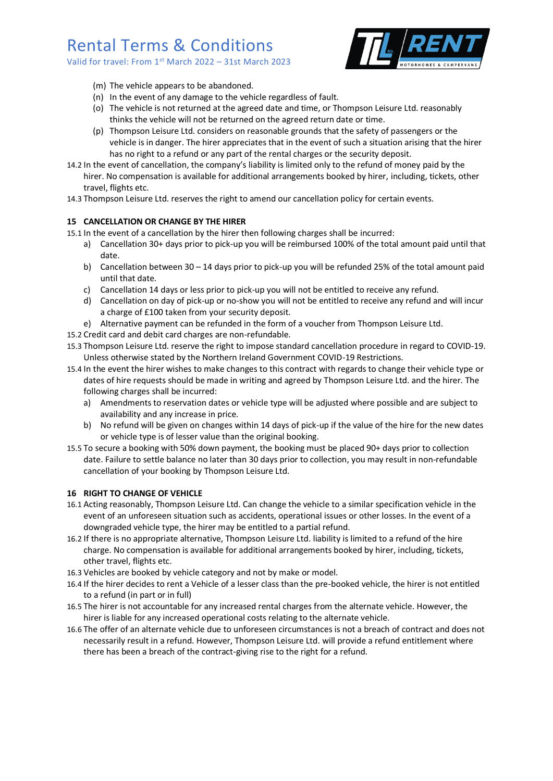Valid for travel: From 1st March 2022 – 31st March 2023



- (m) The vehicle appears to be abandoned.
- (n) In the event of any damage to the vehicle regardless of fault.
- (o) The vehicle is not returned at the agreed date and time, or Thompson Leisure Ltd. reasonably thinks the vehicle will not be returned on the agreed return date or time.
- (p) Thompson Leisure Ltd. considers on reasonable grounds that the safety of passengers or the vehicle is in danger. The hirer appreciates that in the event of such a situation arising that the hirer has no right to a refund or any part of the rental charges or the security deposit.
- 14.2 In the event of cancellation, the company's liability is limited only to the refund of money paid by the hirer. No compensation is available for additional arrangements booked by hirer, including, tickets, other travel, flights etc.
- 14.3 Thompson Leisure Ltd. reserves the right to amend our cancellation policy for certain events.

## **15 CANCELLATION OR CHANGE BY THE HIRER**

15.1 In the event of a cancellation by the hirer then following charges shall be incurred:

- a) Cancellation 30+ days prior to pick-up you will be reimbursed 100% of the total amount paid until that date.
- b) Cancellation between 30 14 days prior to pick-up you will be refunded 25% of the total amount paid until that date.
- c) Cancellation 14 days or less prior to pick-up you will not be entitled to receive any refund.
- d) Cancellation on day of pick-up or no-show you will not be entitled to receive any refund and will incur a charge of £100 taken from your security deposit.
- e) Alternative payment can be refunded in the form of a voucher from Thompson Leisure Ltd.
- 15.2 Credit card and debit card charges are non-refundable.
- 15.3 Thompson Leisure Ltd. reserve the right to impose standard cancellation procedure in regard to COVID-19. Unless otherwise stated by the Northern Ireland Government COVID-19 Restrictions.
- 15.4 In the event the hirer wishes to make changes to this contract with regards to change their vehicle type or dates of hire requests should be made in writing and agreed by Thompson Leisure Ltd. and the hirer. The following charges shall be incurred:
	- a) Amendments to reservation dates or vehicle type will be adjusted where possible and are subject to availability and any increase in price.
	- b) No refund will be given on changes within 14 days of pick-up if the value of the hire for the new dates or vehicle type is of lesser value than the original booking.
- 15.5 To secure a booking with 50% down payment, the booking must be placed 90+ days prior to collection date. Failure to settle balance no later than 30 days prior to collection, you may result in non-refundable cancellation of your booking by Thompson Leisure Ltd.

## **16 RIGHT TO CHANGE OF VEHICLE**

- 16.1 Acting reasonably, Thompson Leisure Ltd. Can change the vehicle to a similar specification vehicle in the event of an unforeseen situation such as accidents, operational issues or other losses. In the event of a downgraded vehicle type, the hirer may be entitled to a partial refund.
- 16.2 If there is no appropriate alternative, Thompson Leisure Ltd. liability is limited to a refund of the hire charge. No compensation is available for additional arrangements booked by hirer, including, tickets, other travel, flights etc.
- 16.3 Vehicles are booked by vehicle category and not by make or model.
- 16.4 If the hirer decides to rent a Vehicle of a lesser class than the pre-booked vehicle, the hirer is not entitled to a refund (in part or in full)
- 16.5 The hirer is not accountable for any increased rental charges from the alternate vehicle. However, the hirer is liable for any increased operational costs relating to the alternate vehicle.
- 16.6 The offer of an alternate vehicle due to unforeseen circumstances is not a breach of contract and does not necessarily result in a refund. However, Thompson Leisure Ltd. will provide a refund entitlement where there has been a breach of the contract-giving rise to the right for a refund.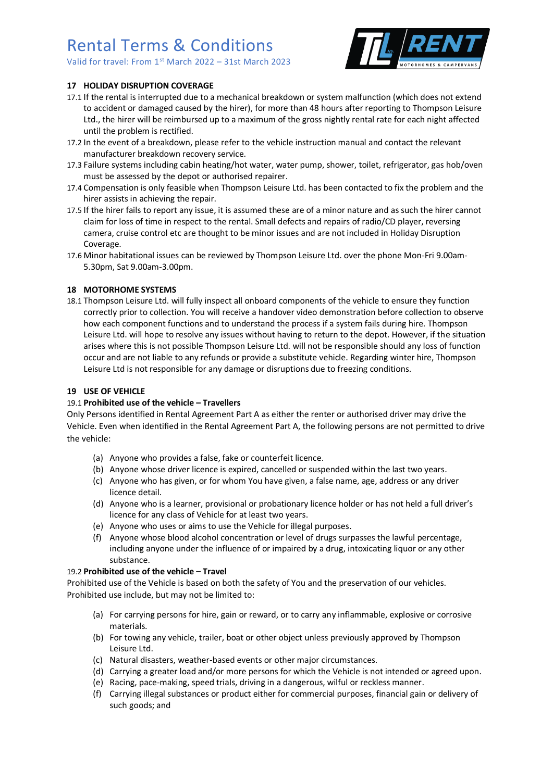Valid for travel: From 1st March 2022 – 31st March 2023



## **17 HOLIDAY DISRUPTION COVERAGE**

- 17.1 If the rental is interrupted due to a mechanical breakdown or system malfunction (which does not extend to accident or damaged caused by the hirer), for more than 48 hours after reporting to Thompson Leisure Ltd., the hirer will be reimbursed up to a maximum of the gross nightly rental rate for each night affected until the problem is rectified.
- 17.2 In the event of a breakdown, please refer to the vehicle instruction manual and contact the relevant manufacturer breakdown recovery service.
- 17.3 Failure systems including cabin heating/hot water, water pump, shower, toilet, refrigerator, gas hob/oven must be assessed by the depot or authorised repairer.
- 17.4 Compensation is only feasible when Thompson Leisure Ltd. has been contacted to fix the problem and the hirer assists in achieving the repair.
- 17.5 If the hirer fails to report any issue, it is assumed these are of a minor nature and as such the hirer cannot claim for loss of time in respect to the rental. Small defects and repairs of radio/CD player, reversing camera, cruise control etc are thought to be minor issues and are not included in Holiday Disruption Coverage.
- 17.6 Minor habitational issues can be reviewed by Thompson Leisure Ltd. over the phone Mon-Fri 9.00am-5.30pm, Sat 9.00am-3.00pm.

### **18 MOTORHOME SYSTEMS**

18.1 Thompson Leisure Ltd. will fully inspect all onboard components of the vehicle to ensure they function correctly prior to collection. You will receive a handover video demonstration before collection to observe how each component functions and to understand the process if a system fails during hire. Thompson Leisure Ltd. will hope to resolve any issues without having to return to the depot. However, if the situation arises where this is not possible Thompson Leisure Ltd. will not be responsible should any loss of function occur and are not liable to any refunds or provide a substitute vehicle. Regarding winter hire, Thompson Leisure Ltd is not responsible for any damage or disruptions due to freezing conditions.

#### **19 USE OF VEHICLE**

#### 19.1 **Prohibited use of the vehicle – Travellers**

Only Persons identified in Rental Agreement Part A as either the renter or authorised driver may drive the Vehicle. Even when identified in the Rental Agreement Part A, the following persons are not permitted to drive the vehicle:

- (a) Anyone who provides a false, fake or counterfeit licence.
- (b) Anyone whose driver licence is expired, cancelled or suspended within the last two years.
- (c) Anyone who has given, or for whom You have given, a false name, age, address or any driver licence detail.
- (d) Anyone who is a learner, provisional or probationary licence holder or has not held a full driver's licence for any class of Vehicle for at least two years.
- (e) Anyone who uses or aims to use the Vehicle for illegal purposes.
- (f) Anyone whose blood alcohol concentration or level of drugs surpasses the lawful percentage, including anyone under the influence of or impaired by a drug, intoxicating liquor or any other substance.

#### 19.2 **Prohibited use of the vehicle – Travel**

Prohibited use of the Vehicle is based on both the safety of You and the preservation of our vehicles. Prohibited use include, but may not be limited to:

- (a) For carrying persons for hire, gain or reward, or to carry any inflammable, explosive or corrosive materials.
- (b) For towing any vehicle, trailer, boat or other object unless previously approved by Thompson Leisure Ltd.
- (c) Natural disasters, weather-based events or other major circumstances.
- (d) Carrying a greater load and/or more persons for which the Vehicle is not intended or agreed upon.
- (e) Racing, pace-making, speed trials, driving in a dangerous, wilful or reckless manner.
- (f) Carrying illegal substances or product either for commercial purposes, financial gain or delivery of such goods; and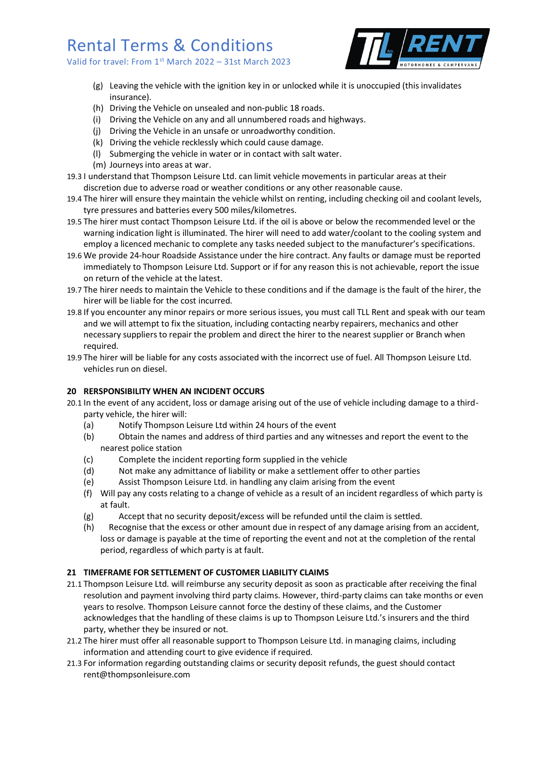Valid for travel: From 1<sup>st</sup> March 2022 - 31st March 2023



- (g) Leaving the vehicle with the ignition key in or unlocked while it is unoccupied (this invalidates insurance).
- (h) Driving the Vehicle on unsealed and non-public 18 roads.
- (i) Driving the Vehicle on any and all unnumbered roads and highways.
- (j) Driving the Vehicle in an unsafe or unroadworthy condition.
- (k) Driving the vehicle recklessly which could cause damage.
- (l) Submerging the vehicle in water or in contact with salt water.
- (m) Journeys into areas at war.
- 19.3 I understand that Thompson Leisure Ltd. can limit vehicle movements in particular areas at their discretion due to adverse road or weather conditions or any other reasonable cause.
- 19.4 The hirer will ensure they maintain the vehicle whilst on renting, including checking oil and coolant levels, tyre pressures and batteries every 500 miles/kilometres.
- 19.5 The hirer must contact Thompson Leisure Ltd. if the oil is above or below the recommended level or the warning indication light is illuminated. The hirer will need to add water/coolant to the cooling system and employ a licenced mechanic to complete any tasks needed subject to the manufacturer's specifications.
- 19.6 We provide 24-hour Roadside Assistance under the hire contract. Any faults or damage must be reported immediately to Thompson Leisure Ltd. Support or if for any reason this is not achievable, report the issue on return of the vehicle at the latest.
- 19.7 The hirer needs to maintain the Vehicle to these conditions and if the damage is the fault of the hirer, the hirer will be liable for the cost incurred.
- 19.8 If you encounter any minor repairs or more serious issues, you must call TLL Rent and speak with our team and we will attempt to fix the situation, including contacting nearby repairers, mechanics and other necessary suppliers to repair the problem and direct the hirer to the nearest supplier or Branch when required.
- 19.9 The hirer will be liable for any costs associated with the incorrect use of fuel. All Thompson Leisure Ltd. vehicles run on diesel.

## **20 RERSPONSIBILITY WHEN AN INCIDENT OCCURS**

- 20.1 In the event of any accident, loss or damage arising out of the use of vehicle including damage to a thirdparty vehicle, the hirer will:
	- (a) Notify Thompson Leisure Ltd within 24 hours of the event
	- (b) Obtain the names and address of third parties and any witnesses and report the event to the nearest police station
	- (c) Complete the incident reporting form supplied in the vehicle
	- (d) Not make any admittance of liability or make a settlement offer to other parties
	- (e) Assist Thompson Leisure Ltd. in handling any claim arising from the event
	- (f) Will pay any costs relating to a change of vehicle as a result of an incident regardless of which party is at fault.
	- (g) Accept that no security deposit/excess will be refunded until the claim is settled.
	- (h) Recognise that the excess or other amount due in respect of any damage arising from an accident, loss or damage is payable at the time of reporting the event and not at the completion of the rental period, regardless of which party is at fault.

#### **21 TIMEFRAME FOR SETTLEMENT OF CUSTOMER LIABILITY CLAIMS**

- 21.1 Thompson Leisure Ltd. will reimburse any security deposit as soon as practicable after receiving the final resolution and payment involving third party claims. However, third-party claims can take months or even years to resolve. Thompson Leisure cannot force the destiny of these claims, and the Customer acknowledges that the handling of these claims is up to Thompson Leisure Ltd.'s insurers and the third party, whether they be insured or not.
- 21.2 The hirer must offer all reasonable support to Thompson Leisure Ltd. in managing claims, including information and attending court to give evidence if required.
- 21.3 For information regarding outstanding claims or security deposit refunds, the guest should contact rent@thompsonleisure.com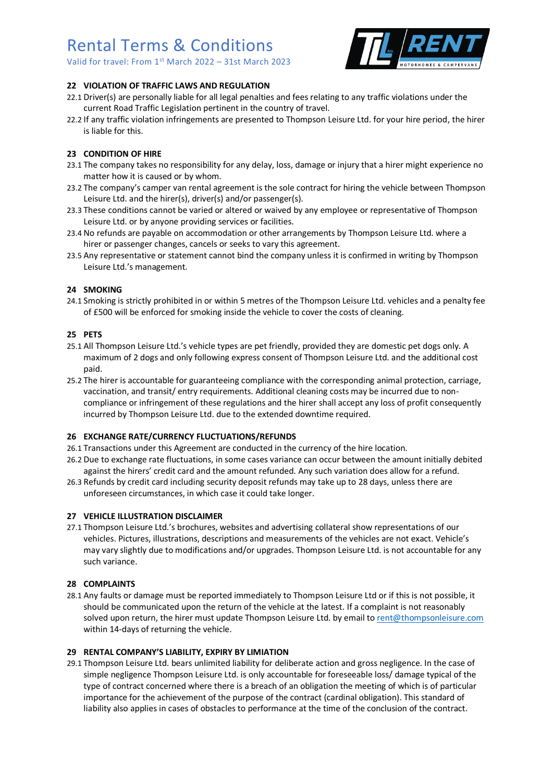Valid for travel: From 1st March 2022 – 31st March 2023



## **22 VIOLATION OF TRAFFIC LAWS AND REGULATION**

- 22.1 Driver(s) are personally liable for all legal penalties and fees relating to any traffic violations under the current Road Traffic Legislation pertinent in the country of travel.
- 22.2 If any traffic violation infringements are presented to Thompson Leisure Ltd. for your hire period, the hirer is liable for this.

## **23 CONDITION OF HIRE**

- 23.1 The company takes no responsibility for any delay, loss, damage or injury that a hirer might experience no matter how it is caused or by whom.
- 23.2 The company's camper van rental agreement is the sole contract for hiring the vehicle between Thompson Leisure Ltd. and the hirer(s), driver(s) and/or passenger(s).
- 23.3 These conditions cannot be varied or altered or waived by any employee or representative of Thompson Leisure Ltd. or by anyone providing services or facilities.
- 23.4 No refunds are payable on accommodation or other arrangements by Thompson Leisure Ltd. where a hirer or passenger changes, cancels or seeks to vary this agreement.
- 23.5 Any representative or statement cannot bind the company unless it is confirmed in writing by Thompson Leisure Ltd.'s management.

### **24 SMOKING**

24.1 Smoking is strictly prohibited in or within 5 metres of the Thompson Leisure Ltd. vehicles and a penalty fee of £500 will be enforced for smoking inside the vehicle to cover the costs of cleaning.

### **25 PETS**

- 25.1 All Thompson Leisure Ltd.'s vehicle types are pet friendly, provided they are domestic pet dogs only. A maximum of 2 dogs and only following express consent of Thompson Leisure Ltd. and the additional cost paid.
- 25.2 The hirer is accountable for guaranteeing compliance with the corresponding animal protection, carriage, vaccination, and transit/ entry requirements. Additional cleaning costs may be incurred due to noncompliance or infringement of these regulations and the hirer shall accept any loss of profit consequently incurred by Thompson Leisure Ltd. due to the extended downtime required.

#### **26 EXCHANGE RATE/CURRENCY FLUCTUATIONS/REFUNDS**

- 26.1 Transactions under this Agreement are conducted in the currency of the hire location.
- 26.2 Due to exchange rate fluctuations, in some cases variance can occur between the amount initially debited against the hirers' credit card and the amount refunded. Any such variation does allow for a refund.
- 26.3 Refunds by credit card including security deposit refunds may take up to 28 days, unless there are unforeseen circumstances, in which case it could take longer.

#### **27 VEHICLE ILLUSTRATION DISCLAIMER**

27.1 Thompson Leisure Ltd.'s brochures, websites and advertising collateral show representations of our vehicles. Pictures, illustrations, descriptions and measurements of the vehicles are not exact. Vehicle's may vary slightly due to modifications and/or upgrades. Thompson Leisure Ltd. is not accountable for any such variance.

#### **28 COMPLAINTS**

28.1 Any faults or damage must be reported immediately to Thompson Leisure Ltd or if this is not possible, it should be communicated upon the return of the vehicle at the latest. If a complaint is not reasonably solved upon return, the hirer must update Thompson Leisure Ltd. by email t[o rent@thompsonleisure.com](mailto:rent@thompsonleisure.com) within 14-days of returning the vehicle.

#### **29 RENTAL COMPANY'S LIABILITY, EXPIRY BY LIMIATION**

29.1 Thompson Leisure Ltd. bears unlimited liability for deliberate action and gross negligence. In the case of simple negligence Thompson Leisure Ltd. is only accountable for foreseeable loss/ damage typical of the type of contract concerned where there is a breach of an obligation the meeting of which is of particular importance for the achievement of the purpose of the contract (cardinal obligation). This standard of liability also applies in cases of obstacles to performance at the time of the conclusion of the contract.